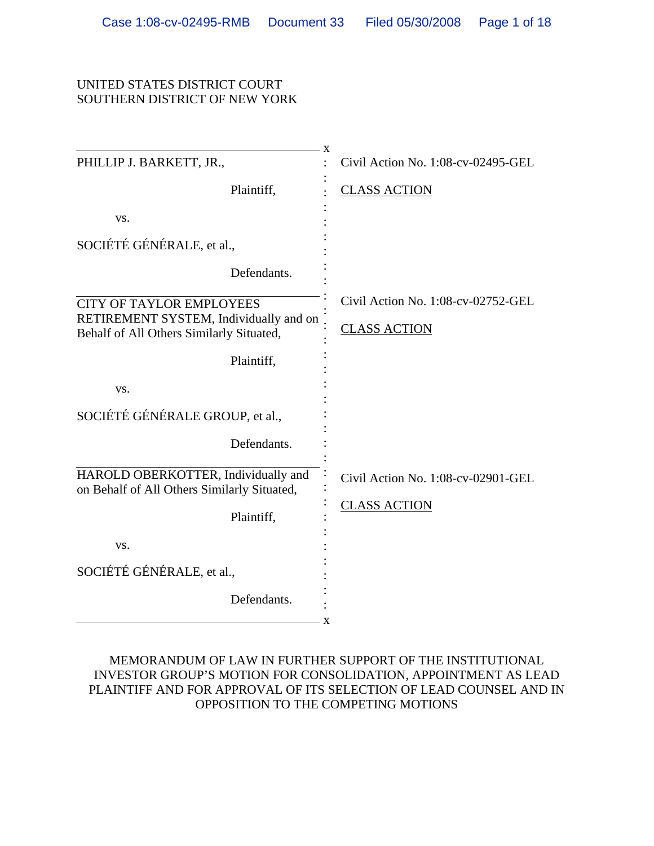#### UNITED STATES DISTRICT COURT SOUTHERN DISTRICT OF NEW YORK

| X                                                                                  |                                    |
|------------------------------------------------------------------------------------|------------------------------------|
| PHILLIP J. BARKETT, JR.,                                                           | Civil Action No. 1:08-cv-02495-GEL |
| Plaintiff,                                                                         | <b>CLASS ACTION</b>                |
| VS.                                                                                |                                    |
| SOCIÉTÉ GÉNÉRALE, et al.,                                                          |                                    |
| Defendants.                                                                        |                                    |
| <b>CITY OF TAYLOR EMPLOYEES</b>                                                    | Civil Action No. 1:08-cv-02752-GEL |
| RETIREMENT SYSTEM, Individually and on<br>Behalf of All Others Similarly Situated, | <u>CLASS ACTION</u>                |
| Plaintiff,                                                                         |                                    |
| VS.                                                                                |                                    |
| SOCIÉTÉ GÉNÉRALE GROUP, et al.,                                                    |                                    |
| Defendants.                                                                        |                                    |
| HAROLD OBERKOTTER, Individually and<br>on Behalf of All Others Similarly Situated, | Civil Action No. 1:08-cv-02901-GEL |
| Plaintiff,                                                                         | <b>CLASS ACTION</b>                |
| VS.                                                                                |                                    |
| SOCIÉTÉ GÉNÉRALE, et al.,                                                          |                                    |
| Defendants.<br>X                                                                   |                                    |

# MEMORANDUM OF LAW IN FURTHER SUPPORT OF THE INSTITUTIONAL INVESTOR GROUP'S MOTION FOR CONSOLIDATION, APPOINTMENT AS LEAD PLAINTIFF AND FOR APPROVAL OF ITS SELECTION OF LEAD COUNSEL AND IN OPPOSITION TO THE COMPETING MOTIONS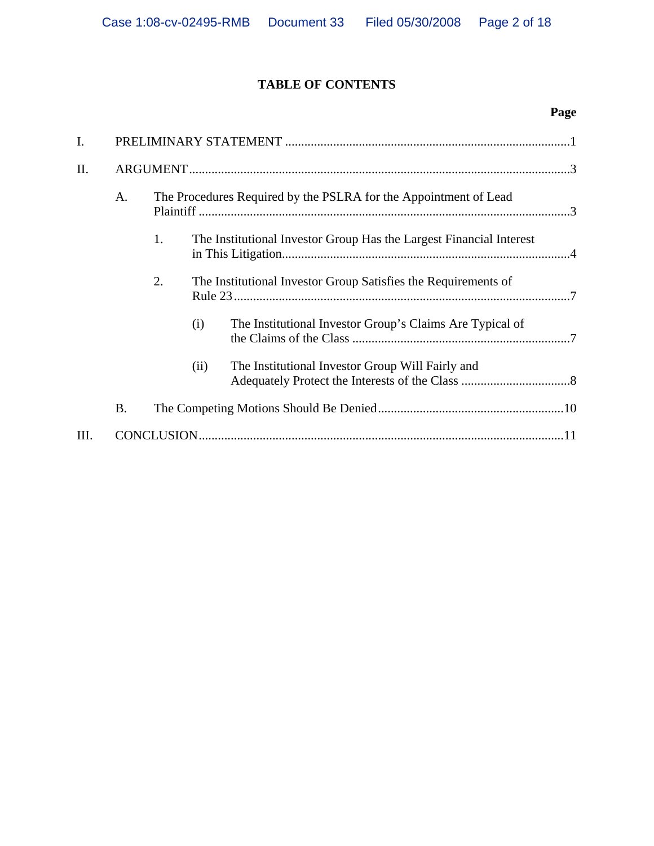# **TABLE OF CONTENTS**

| I.  |                                                                           |    |                                                                  |                                                          |  |  |  |
|-----|---------------------------------------------------------------------------|----|------------------------------------------------------------------|----------------------------------------------------------|--|--|--|
| II. |                                                                           |    |                                                                  |                                                          |  |  |  |
|     | A.                                                                        |    | The Procedures Required by the PSLRA for the Appointment of Lead |                                                          |  |  |  |
|     | 1.<br>The Institutional Investor Group Has the Largest Financial Interest |    |                                                                  |                                                          |  |  |  |
|     |                                                                           | 2. | The Institutional Investor Group Satisfies the Requirements of   |                                                          |  |  |  |
|     |                                                                           |    | (i)                                                              | The Institutional Investor Group's Claims Are Typical of |  |  |  |
|     |                                                                           |    | (ii)                                                             | The Institutional Investor Group Will Fairly and         |  |  |  |
|     | <b>B.</b>                                                                 |    |                                                                  |                                                          |  |  |  |
| Ш.  |                                                                           |    |                                                                  |                                                          |  |  |  |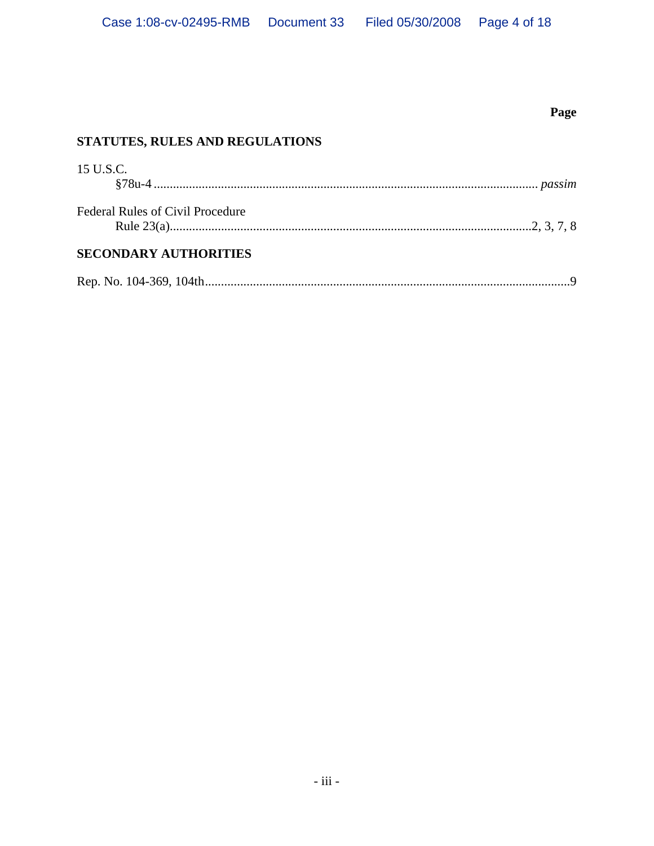# **STATUTES, RULES AND REGULATIONS**  15 U.S.C. §78u-4 ........................................................................................................................ *passim* Federal Rules of Civil Procedure Rule 23(a).................................................................................................................2, 3, 7, 8 **SECONDARY AUTHORITIES**  Rep. No. 104-369, 104th..................................................................................................................9

**Page**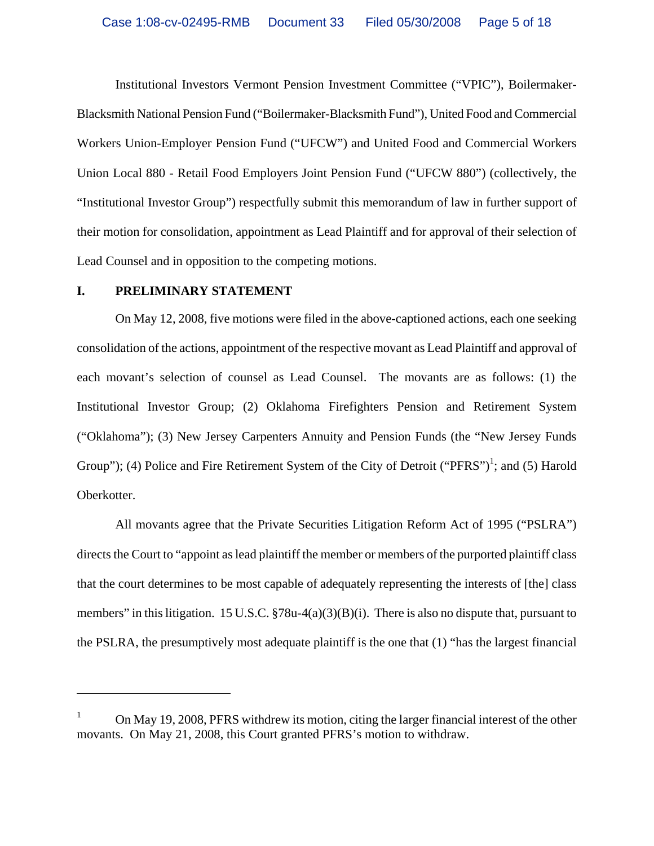Institutional Investors Vermont Pension Investment Committee ("VPIC"), Boilermaker-Blacksmith National Pension Fund ("Boilermaker-Blacksmith Fund"), United Food and Commercial Workers Union-Employer Pension Fund ("UFCW") and United Food and Commercial Workers Union Local 880 - Retail Food Employers Joint Pension Fund ("UFCW 880") (collectively, the "Institutional Investor Group") respectfully submit this memorandum of law in further support of their motion for consolidation, appointment as Lead Plaintiff and for approval of their selection of Lead Counsel and in opposition to the competing motions.

#### **I. PRELIMINARY STATEMENT**

 $\overline{a}$ 

On May 12, 2008, five motions were filed in the above-captioned actions, each one seeking consolidation of the actions, appointment of the respective movant as Lead Plaintiff and approval of each movant's selection of counsel as Lead Counsel. The movants are as follows: (1) the Institutional Investor Group; (2) Oklahoma Firefighters Pension and Retirement System ("Oklahoma"); (3) New Jersey Carpenters Annuity and Pension Funds (the "New Jersey Funds Group"); (4) Police and Fire Retirement System of the City of Detroit ("PFRS")<sup>1</sup>; and (5) Harold Oberkotter.

All movants agree that the Private Securities Litigation Reform Act of 1995 ("PSLRA") directs the Court to "appoint as lead plaintiff the member or members of the purported plaintiff class that the court determines to be most capable of adequately representing the interests of [the] class members" in this litigation. 15 U.S.C. §78u-4(a)(3)(B)(i). There is also no dispute that, pursuant to the PSLRA, the presumptively most adequate plaintiff is the one that (1) "has the largest financial

<sup>1</sup> On May 19, 2008, PFRS withdrew its motion, citing the larger financial interest of the other movants. On May 21, 2008, this Court granted PFRS's motion to withdraw.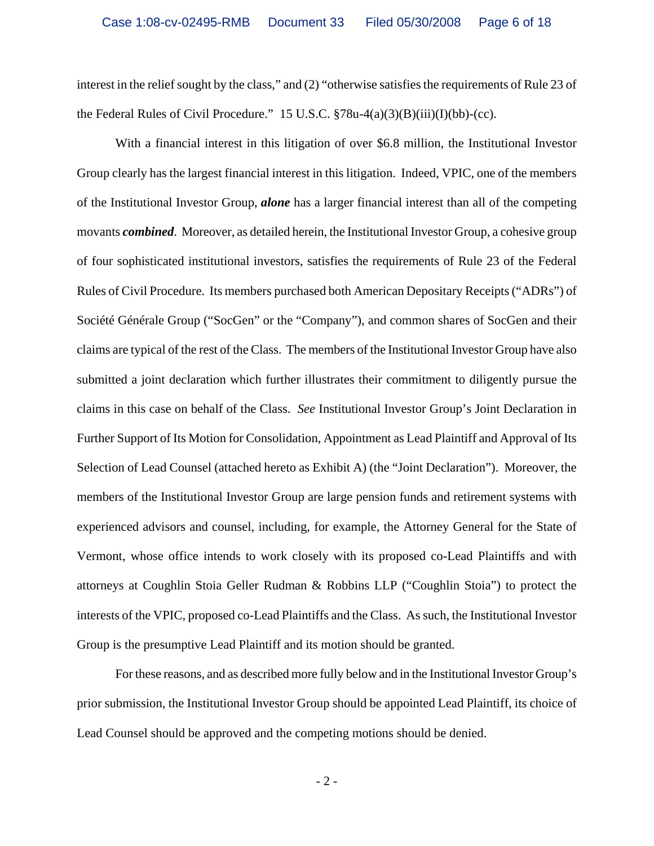interest in the relief sought by the class," and (2) "otherwise satisfies the requirements of Rule 23 of the Federal Rules of Civil Procedure." 15 U.S.C. §78u-4(a)(3)(B)(iii)(I)(bb)-(cc).

With a financial interest in this litigation of over \$6.8 million, the Institutional Investor Group clearly has the largest financial interest in this litigation. Indeed, VPIC, one of the members of the Institutional Investor Group, *alone* has a larger financial interest than all of the competing movants *combined*. Moreover, as detailed herein, the Institutional Investor Group, a cohesive group of four sophisticated institutional investors, satisfies the requirements of Rule 23 of the Federal Rules of Civil Procedure. Its members purchased both American Depositary Receipts ("ADRs") of Société Générale Group ("SocGen" or the "Company"), and common shares of SocGen and their claims are typical of the rest of the Class. The members of the Institutional Investor Group have also submitted a joint declaration which further illustrates their commitment to diligently pursue the claims in this case on behalf of the Class. *See* Institutional Investor Group's Joint Declaration in Further Support of Its Motion for Consolidation, Appointment as Lead Plaintiff and Approval of Its Selection of Lead Counsel (attached hereto as Exhibit A) (the "Joint Declaration"). Moreover, the members of the Institutional Investor Group are large pension funds and retirement systems with experienced advisors and counsel, including, for example, the Attorney General for the State of Vermont, whose office intends to work closely with its proposed co-Lead Plaintiffs and with attorneys at Coughlin Stoia Geller Rudman & Robbins LLP ("Coughlin Stoia") to protect the interests of the VPIC, proposed co-Lead Plaintiffs and the Class. As such, the Institutional Investor Group is the presumptive Lead Plaintiff and its motion should be granted.

For these reasons, and as described more fully below and in the Institutional Investor Group's prior submission, the Institutional Investor Group should be appointed Lead Plaintiff, its choice of Lead Counsel should be approved and the competing motions should be denied.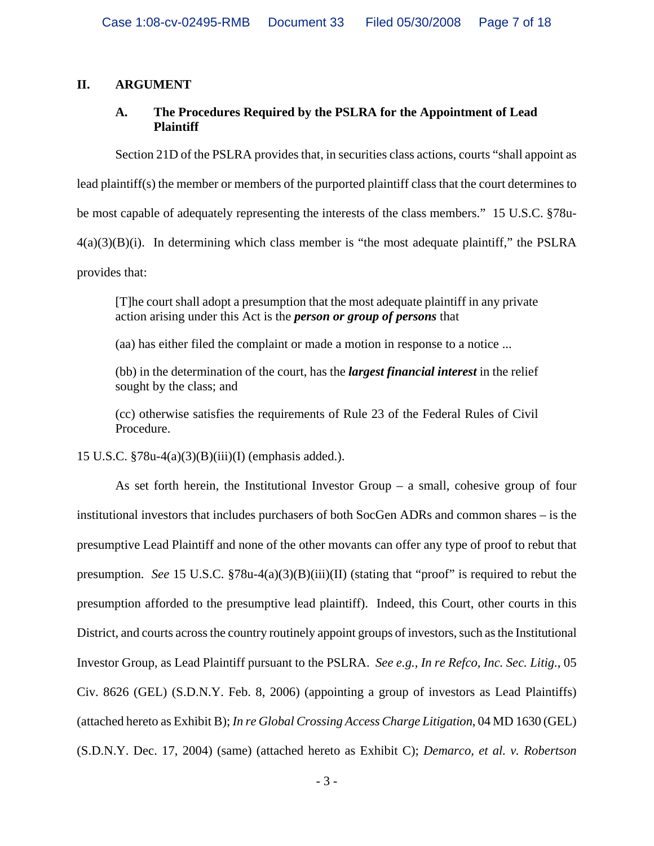## **II. ARGUMENT**

## **A. The Procedures Required by the PSLRA for the Appointment of Lead Plaintiff**

Section 21D of the PSLRA provides that, in securities class actions, courts "shall appoint as

lead plaintiff(s) the member or members of the purported plaintiff class that the court determines to

be most capable of adequately representing the interests of the class members." 15 U.S.C. §78u-

 $4(a)(3)(B)(i)$ . In determining which class member is "the most adequate plaintiff," the PSLRA

provides that:

[T]he court shall adopt a presumption that the most adequate plaintiff in any private action arising under this Act is the *person or group of persons* that

(aa) has either filed the complaint or made a motion in response to a notice ...

(bb) in the determination of the court, has the *largest financial interest* in the relief sought by the class; and

(cc) otherwise satisfies the requirements of Rule 23 of the Federal Rules of Civil Procedure.

15 U.S.C. §78u-4(a)(3)(B)(iii)(I) (emphasis added.).

As set forth herein, the Institutional Investor Group – a small, cohesive group of four institutional investors that includes purchasers of both SocGen ADRs and common shares – is the presumptive Lead Plaintiff and none of the other movants can offer any type of proof to rebut that presumption. *See* 15 U.S.C. §78u-4(a)(3)(B)(iii)(II) (stating that "proof" is required to rebut the presumption afforded to the presumptive lead plaintiff). Indeed, this Court, other courts in this District, and courts across the country routinely appoint groups of investors, such as the Institutional Investor Group, as Lead Plaintiff pursuant to the PSLRA. *See e.g., In re Refco, Inc. Sec. Litig.*, 05 Civ. 8626 (GEL) (S.D.N.Y. Feb. 8, 2006) (appointing a group of investors as Lead Plaintiffs) (attached hereto as Exhibit B); *In re Global Crossing Access Charge Litigation*, 04 MD 1630 (GEL) (S.D.N.Y. Dec. 17, 2004) (same) (attached hereto as Exhibit C); *Demarco, et al. v. Robertson*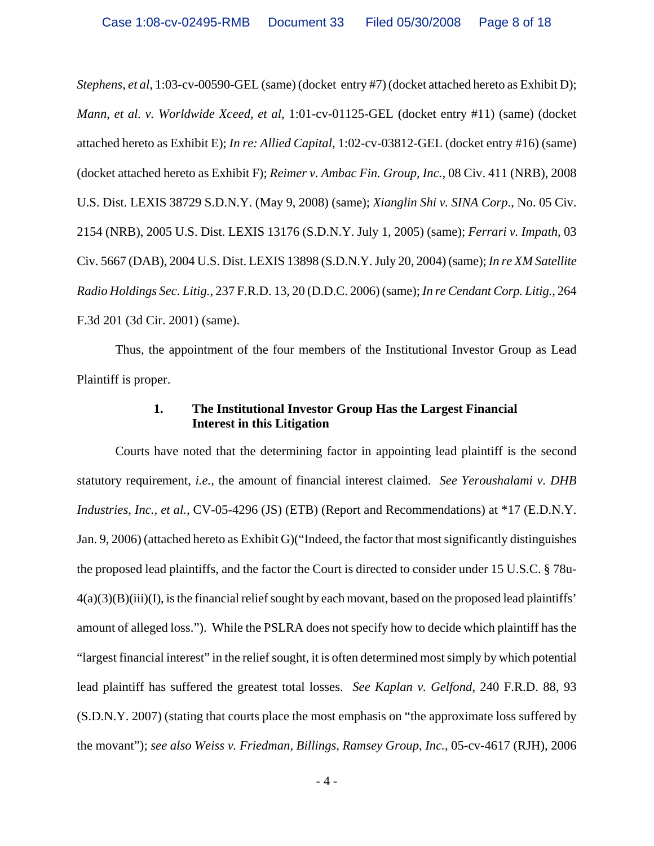*Stephens*, *et al,* 1:03-cv-00590-GEL (same) (docket entry #7) (docket attached hereto as Exhibit D); *Mann, et al. v. Worldwide Xceed*, *et al,* 1:01-cv-01125-GEL (docket entry #11) (same) (docket attached hereto as Exhibit E); *In re: Allied Capital*, 1:02-cv-03812-GEL (docket entry #16) (same) (docket attached hereto as Exhibit F); *Reimer v. Ambac Fin. Group, Inc.,* 08 Civ. 411 (NRB), 2008 U.S. Dist. LEXIS 38729 S.D.N.Y. (May 9, 2008) (same); *Xianglin Shi v. SINA Corp*., No. 05 Civ. 2154 (NRB), 2005 U.S. Dist. LEXIS 13176 (S.D.N.Y. July 1, 2005) (same); *Ferrari v. Impath*, 03 Civ. 5667 (DAB), 2004 U.S. Dist. LEXIS 13898 (S.D.N.Y. July 20, 2004) (same); *In re XM Satellite Radio Holdings Sec. Litig.*, 237 F.R.D. 13, 20 (D.D.C. 2006) (same); *In re Cendant Corp. Litig.*, 264 F.3d 201 (3d Cir. 2001) (same).

Thus, the appointment of the four members of the Institutional Investor Group as Lead Plaintiff is proper.

#### **1. The Institutional Investor Group Has the Largest Financial Interest in this Litigation**

Courts have noted that the determining factor in appointing lead plaintiff is the second statutory requirement, *i.e.*, the amount of financial interest claimed. *See Yeroushalami v. DHB Industries, Inc., et al.,* CV-05-4296 (JS) (ETB) (Report and Recommendations) at \*17 (E.D.N.Y. Jan. 9, 2006) (attached hereto as Exhibit G)("Indeed, the factor that most significantly distinguishes the proposed lead plaintiffs, and the factor the Court is directed to consider under 15 U.S.C. § 78u- $4(a)(3)(B)(iii)(I)$ , is the financial relief sought by each movant, based on the proposed lead plaintiffs' amount of alleged loss."). While the PSLRA does not specify how to decide which plaintiff has the "largest financial interest" in the relief sought, it is often determined most simply by which potential lead plaintiff has suffered the greatest total losses. *See Kaplan v. Gelfond,* 240 F.R.D. 88, 93 (S.D.N.Y. 2007) (stating that courts place the most emphasis on "the approximate loss suffered by the movant"); *see also Weiss v. Friedman, Billings, Ramsey Group, Inc.*, 05-cv-4617 (RJH), 2006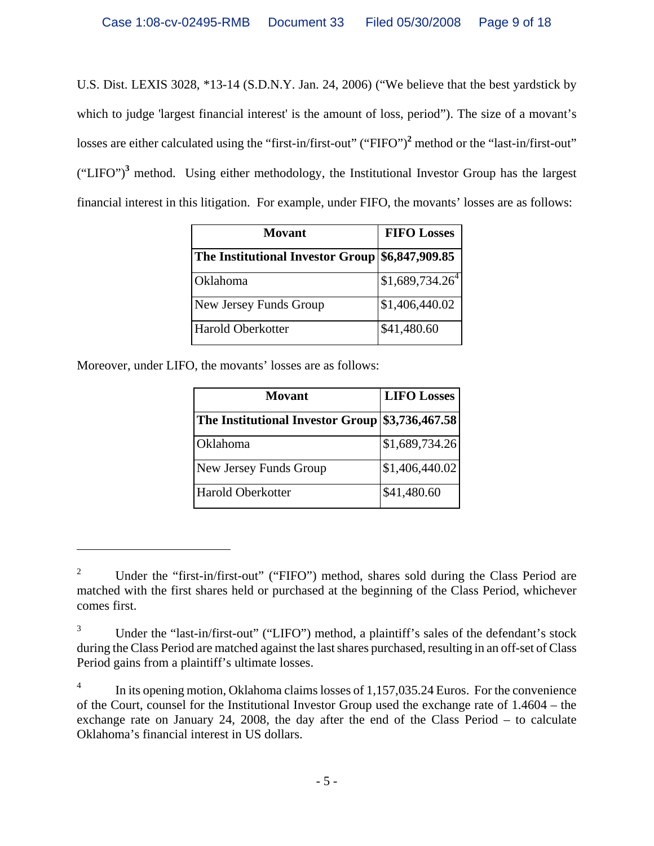U.S. Dist. LEXIS 3028, \*13-14 (S.D.N.Y. Jan. 24, 2006) ("We believe that the best yardstick by which to judge 'largest financial interest' is the amount of loss, period"). The size of a movant's losses are either calculated using the "first-in/first-out" ("FIFO")<sup>2</sup> method or the "last-in/first-out"  $("LIFO")<sup>3</sup>$  method. Using either methodology, the Institutional Investor Group has the largest financial interest in this litigation. For example, under FIFO, the movants' losses are as follows:

| Movant                                          | <b>FIFO Losses</b> |  |
|-------------------------------------------------|--------------------|--|
| The Institutional Investor Group \$6,847,909.85 |                    |  |
| Oklahoma                                        | $$1,689,734.26^4$  |  |
| New Jersey Funds Group                          | \$1,406,440.02     |  |
| Harold Oberkotter                               | \$41,480.60        |  |

Moreover, under LIFO, the movants' losses are as follows:

 $\overline{a}$ 

| Movant                                          | <b>LIFO Losses</b> |  |  |
|-------------------------------------------------|--------------------|--|--|
| The Institutional Investor Group \$3,736,467.58 |                    |  |  |
| Oklahoma                                        | \$1,689,734.26     |  |  |
| New Jersey Funds Group                          | \$1,406,440.02     |  |  |
| Harold Oberkotter                               | \$41,480.60        |  |  |

<sup>2</sup> Under the "first-in/first-out" ("FIFO") method, shares sold during the Class Period are matched with the first shares held or purchased at the beginning of the Class Period, whichever comes first.

<sup>3</sup> Under the "last-in/first-out" ("LIFO") method, a plaintiff's sales of the defendant's stock during the Class Period are matched against the last shares purchased, resulting in an off-set of Class Period gains from a plaintiff's ultimate losses.

<sup>4</sup> In its opening motion, Oklahoma claims losses of 1,157,035.24 Euros. For the convenience of the Court, counsel for the Institutional Investor Group used the exchange rate of 1.4604 – the exchange rate on January 24, 2008, the day after the end of the Class Period – to calculate Oklahoma's financial interest in US dollars.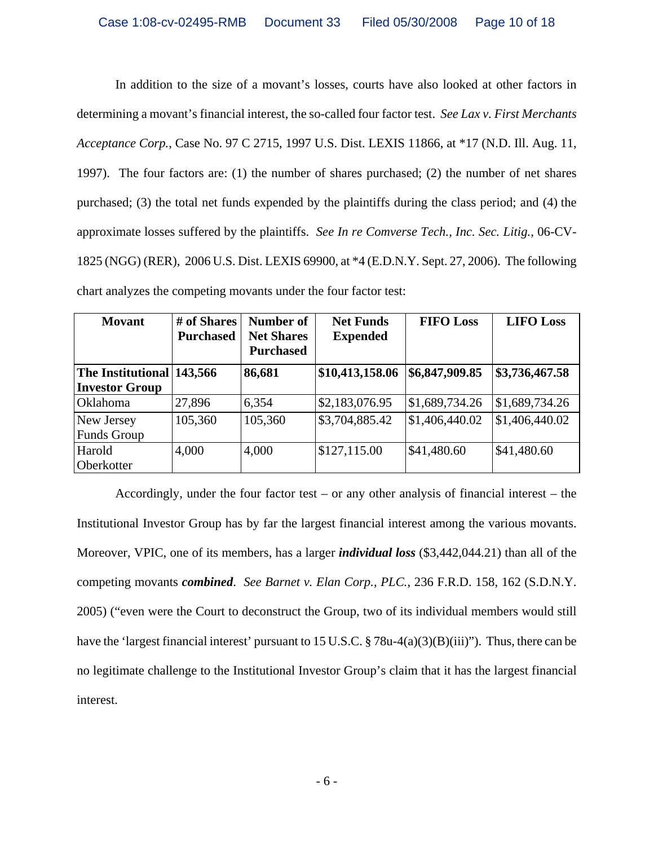In addition to the size of a movant's losses, courts have also looked at other factors in determining a movant's financial interest, the so-called four factor test. *See Lax v. First Merchants Acceptance Corp.*, Case No. 97 C 2715, 1997 U.S. Dist. LEXIS 11866, at \*17 (N.D. Ill. Aug. 11, 1997). The four factors are: (1) the number of shares purchased; (2) the number of net shares purchased; (3) the total net funds expended by the plaintiffs during the class period; and (4) the approximate losses suffered by the plaintiffs. *See In re Comverse Tech., Inc. Sec. Litig.,* 06-CV-1825 (NGG) (RER), 2006 U.S. Dist. LEXIS 69900, at \*4 (E.D.N.Y. Sept. 27, 2006). The following chart analyzes the competing movants under the four factor test:

| <b>Movant</b>             | # of Shares<br><b>Purchased</b> | Number of<br><b>Net Shares</b><br><b>Purchased</b> | <b>Net Funds</b><br><b>Expended</b> | <b>FIFO Loss</b> | <b>LIFO Loss</b> |
|---------------------------|---------------------------------|----------------------------------------------------|-------------------------------------|------------------|------------------|
| The Institutional 143,566 |                                 | 86,681                                             | \$10,413,158.06                     | \$6,847,909.85   | \$3,736,467.58   |
| <b>Investor Group</b>     |                                 |                                                    |                                     |                  |                  |
| Oklahoma                  | 27,896                          | 6,354                                              | \$2,183,076.95                      | \$1,689,734.26   | \$1,689,734.26   |
| New Jersey                | 105,360                         | 105,360                                            | \$3,704,885.42                      | \$1,406,440.02   | \$1,406,440.02   |
| <b>Funds Group</b>        |                                 |                                                    |                                     |                  |                  |
| Harold                    | 4,000                           | 4,000                                              | \$127,115.00                        | \$41,480.60      | \$41,480.60      |
| Oberkotter                |                                 |                                                    |                                     |                  |                  |

Accordingly, under the four factor test – or any other analysis of financial interest – the Institutional Investor Group has by far the largest financial interest among the various movants. Moreover, VPIC, one of its members, has a larger *individual loss* (\$3,442,044.21) than all of the competing movants *combined*. *See Barnet v. Elan Corp., PLC.*, 236 F.R.D. 158, 162 (S.D.N.Y. 2005) ("even were the Court to deconstruct the Group, two of its individual members would still have the 'largest financial interest' pursuant to 15 U.S.C. § 78u-4(a)(3)(B)(iii)"). Thus, there can be no legitimate challenge to the Institutional Investor Group's claim that it has the largest financial interest.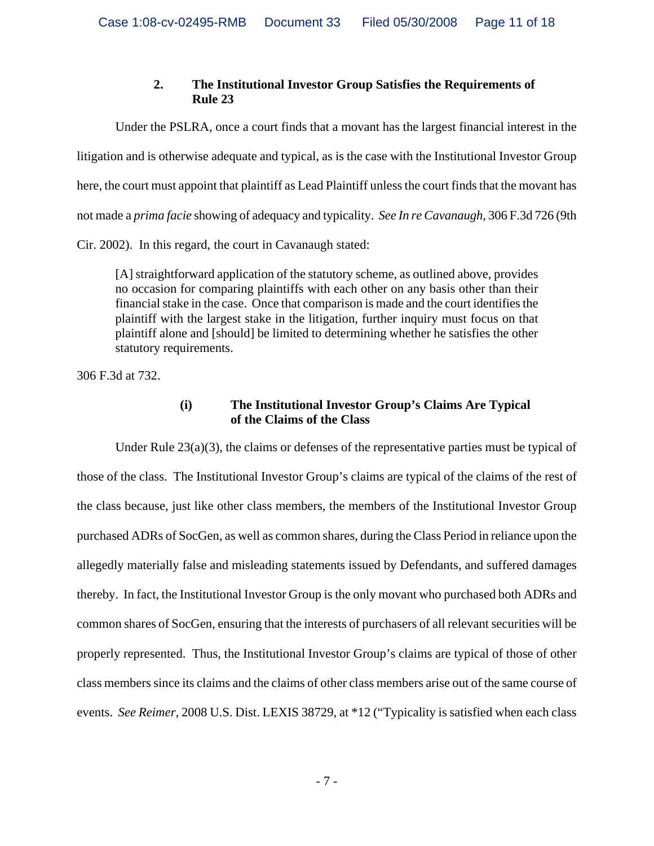# **2. The Institutional Investor Group Satisfies the Requirements of Rule 23**

Under the PSLRA, once a court finds that a movant has the largest financial interest in the litigation and is otherwise adequate and typical, as is the case with the Institutional Investor Group here, the court must appoint that plaintiff as Lead Plaintiff unless the court finds that the movant has not made a *prima facie* showing of adequacy and typicality. *See In re Cavanaugh*, 306 F.3d 726 (9th Cir. 2002). In this regard, the court in Cavanaugh stated:

[A] straightforward application of the statutory scheme, as outlined above, provides no occasion for comparing plaintiffs with each other on any basis other than their financial stake in the case. Once that comparison is made and the court identifies the plaintiff with the largest stake in the litigation, further inquiry must focus on that plaintiff alone and [should] be limited to determining whether he satisfies the other statutory requirements.

306 F.3d at 732.

## **(i) The Institutional Investor Group's Claims Are Typical of the Claims of the Class**

Under Rule  $23(a)(3)$ , the claims or defenses of the representative parties must be typical of those of the class. The Institutional Investor Group's claims are typical of the claims of the rest of the class because, just like other class members, the members of the Institutional Investor Group purchased ADRs of SocGen, as well as common shares, during the Class Period in reliance upon the allegedly materially false and misleading statements issued by Defendants, and suffered damages thereby. In fact, the Institutional Investor Group is the only movant who purchased both ADRs and common shares of SocGen, ensuring that the interests of purchasers of all relevant securities will be properly represented. Thus, the Institutional Investor Group's claims are typical of those of other class members since its claims and the claims of other class members arise out of the same course of events. *See Reimer,* 2008 U.S. Dist. LEXIS 38729, at \*12 ("Typicality is satisfied when each class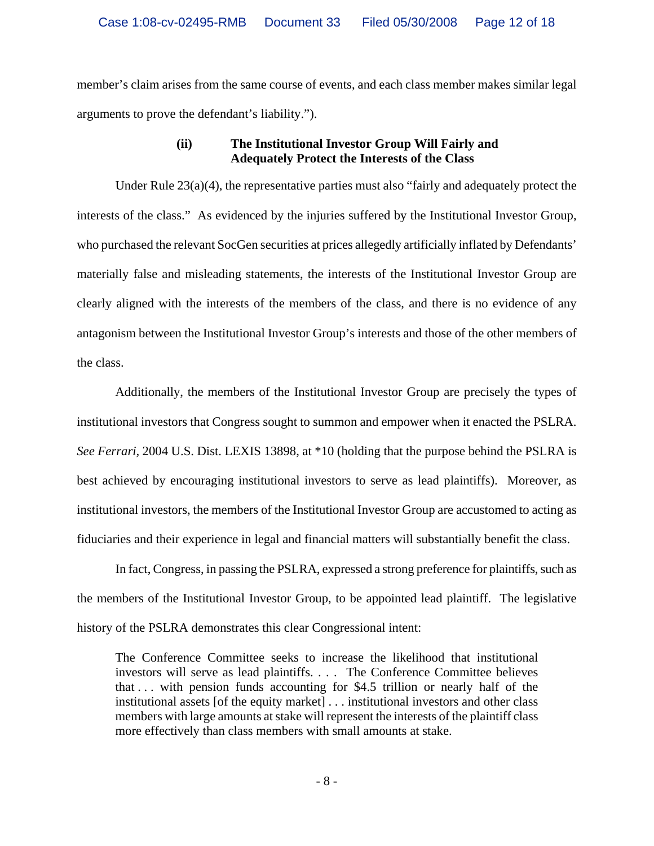member's claim arises from the same course of events, and each class member makes similar legal arguments to prove the defendant's liability.").

## **(ii) The Institutional Investor Group Will Fairly and Adequately Protect the Interests of the Class**

Under Rule  $23(a)(4)$ , the representative parties must also "fairly and adequately protect the interests of the class." As evidenced by the injuries suffered by the Institutional Investor Group, who purchased the relevant SocGen securities at prices allegedly artificially inflated by Defendants' materially false and misleading statements, the interests of the Institutional Investor Group are clearly aligned with the interests of the members of the class, and there is no evidence of any antagonism between the Institutional Investor Group's interests and those of the other members of the class.

Additionally, the members of the Institutional Investor Group are precisely the types of institutional investors that Congress sought to summon and empower when it enacted the PSLRA. *See Ferrari,* 2004 U.S. Dist. LEXIS 13898, at \*10 (holding that the purpose behind the PSLRA is best achieved by encouraging institutional investors to serve as lead plaintiffs). Moreover, as institutional investors, the members of the Institutional Investor Group are accustomed to acting as fiduciaries and their experience in legal and financial matters will substantially benefit the class.

In fact, Congress, in passing the PSLRA, expressed a strong preference for plaintiffs, such as the members of the Institutional Investor Group, to be appointed lead plaintiff. The legislative history of the PSLRA demonstrates this clear Congressional intent:

The Conference Committee seeks to increase the likelihood that institutional investors will serve as lead plaintiffs. . . . The Conference Committee believes that . . . with pension funds accounting for \$4.5 trillion or nearly half of the institutional assets [of the equity market] . . . institutional investors and other class members with large amounts at stake will represent the interests of the plaintiff class more effectively than class members with small amounts at stake.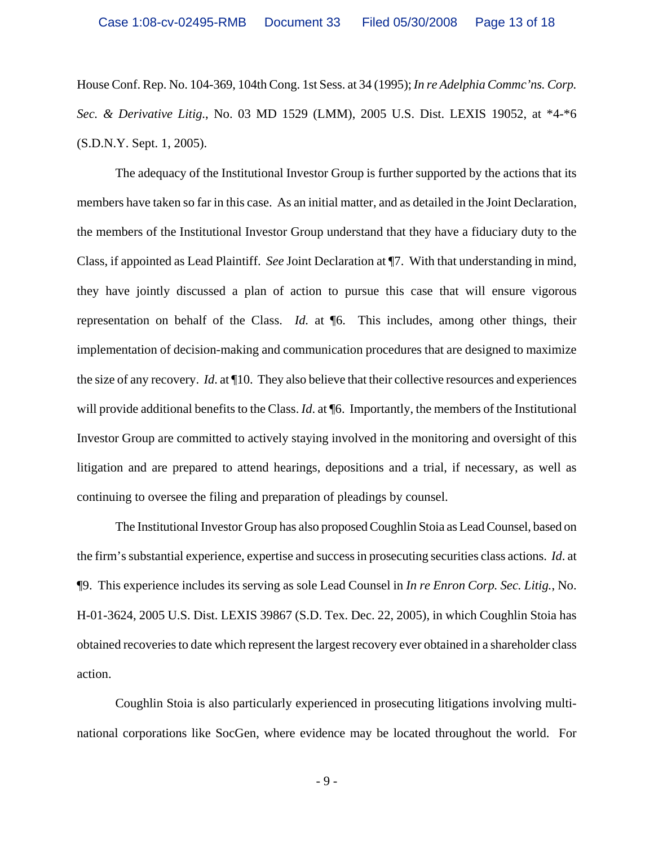House Conf. Rep. No. 104-369, 104th Cong. 1st Sess. at 34 (1995); *In re Adelphia Commc'ns. Corp. Sec. & Derivative Litig.*, No. 03 MD 1529 (LMM), 2005 U.S. Dist. LEXIS 19052, at \*4-\*6 (S.D.N.Y. Sept. 1, 2005).

The adequacy of the Institutional Investor Group is further supported by the actions that its members have taken so far in this case. As an initial matter, and as detailed in the Joint Declaration, the members of the Institutional Investor Group understand that they have a fiduciary duty to the Class, if appointed as Lead Plaintiff. *See* Joint Declaration at ¶7. With that understanding in mind, they have jointly discussed a plan of action to pursue this case that will ensure vigorous representation on behalf of the Class. *Id.* at ¶6. This includes, among other things, their implementation of decision-making and communication procedures that are designed to maximize the size of any recovery. *Id*. at ¶10. They also believe that their collective resources and experiences will provide additional benefits to the Class. *Id.* at  $\llbracket 6$ . Importantly, the members of the Institutional Investor Group are committed to actively staying involved in the monitoring and oversight of this litigation and are prepared to attend hearings, depositions and a trial, if necessary, as well as continuing to oversee the filing and preparation of pleadings by counsel.

The Institutional Investor Group has also proposed Coughlin Stoia as Lead Counsel, based on the firm's substantial experience, expertise and success in prosecuting securities class actions. *Id*. at ¶9. This experience includes its serving as sole Lead Counsel in *In re Enron Corp. Sec. Litig.*, No. H-01-3624, 2005 U.S. Dist. LEXIS 39867 (S.D. Tex. Dec. 22, 2005), in which Coughlin Stoia has obtained recoveries to date which represent the largest recovery ever obtained in a shareholder class action.

Coughlin Stoia is also particularly experienced in prosecuting litigations involving multinational corporations like SocGen, where evidence may be located throughout the world. For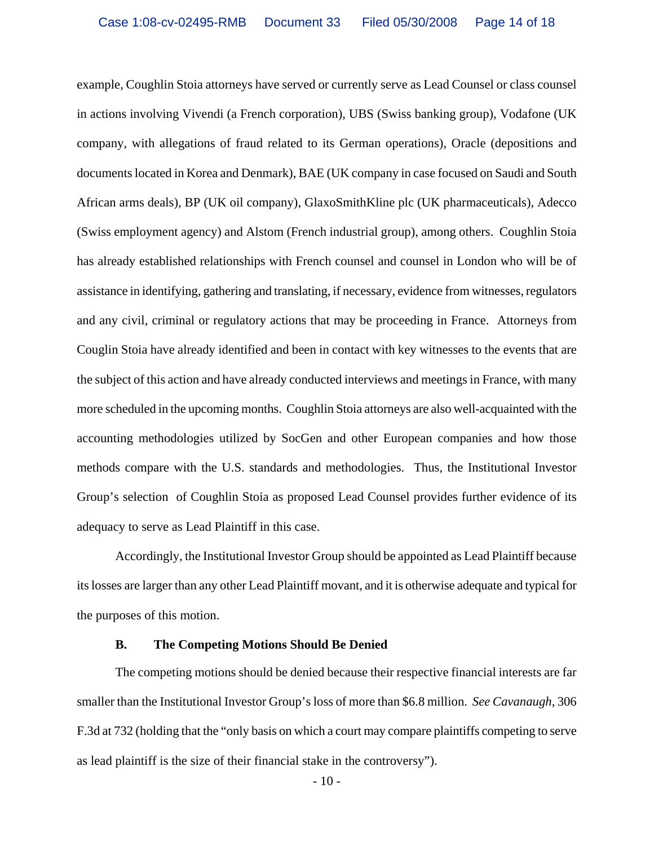example, Coughlin Stoia attorneys have served or currently serve as Lead Counsel or class counsel in actions involving Vivendi (a French corporation), UBS (Swiss banking group), Vodafone (UK company, with allegations of fraud related to its German operations), Oracle (depositions and documents located in Korea and Denmark), BAE (UK company in case focused on Saudi and South African arms deals), BP (UK oil company), GlaxoSmithKline plc (UK pharmaceuticals), Adecco (Swiss employment agency) and Alstom (French industrial group), among others. Coughlin Stoia has already established relationships with French counsel and counsel in London who will be of assistance in identifying, gathering and translating, if necessary, evidence from witnesses, regulators and any civil, criminal or regulatory actions that may be proceeding in France. Attorneys from Couglin Stoia have already identified and been in contact with key witnesses to the events that are the subject of this action and have already conducted interviews and meetings in France, with many more scheduled in the upcoming months. Coughlin Stoia attorneys are also well-acquainted with the accounting methodologies utilized by SocGen and other European companies and how those methods compare with the U.S. standards and methodologies. Thus, the Institutional Investor Group's selection of Coughlin Stoia as proposed Lead Counsel provides further evidence of its adequacy to serve as Lead Plaintiff in this case.

Accordingly, the Institutional Investor Group should be appointed as Lead Plaintiff because its losses are larger than any other Lead Plaintiff movant, and it is otherwise adequate and typical for the purposes of this motion.

#### **B. The Competing Motions Should Be Denied**

The competing motions should be denied because their respective financial interests are far smaller than the Institutional Investor Group's loss of more than \$6.8 million. *See Cavanaugh*, 306 F.3d at 732 (holding that the "only basis on which a court may compare plaintiffs competing to serve as lead plaintiff is the size of their financial stake in the controversy").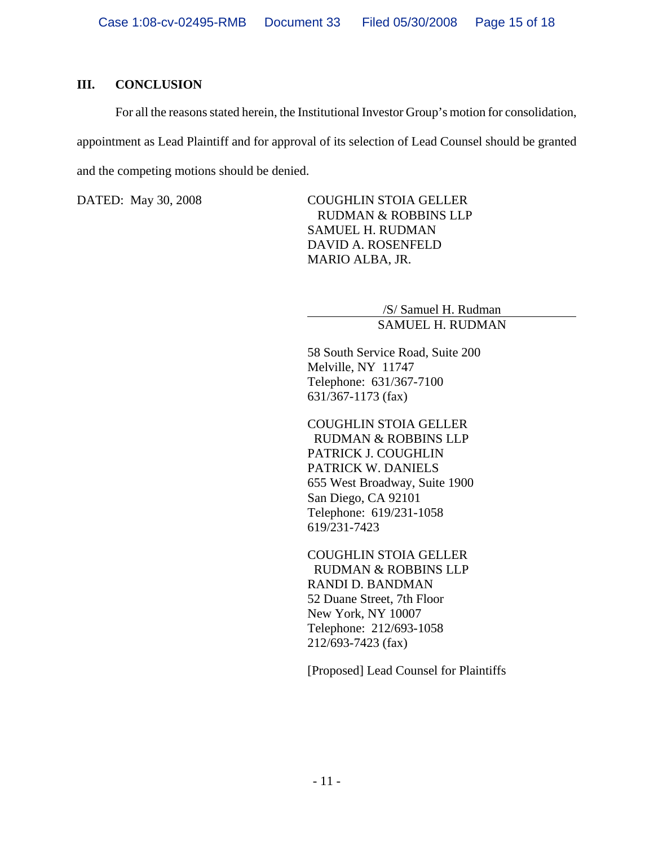## **III. CONCLUSION**

For all the reasons stated herein, the Institutional Investor Group's motion for consolidation, appointment as Lead Plaintiff and for approval of its selection of Lead Counsel should be granted and the competing motions should be denied.

DATED: May 30, 2008 COUGHLIN STOIA GELLER RUDMAN & ROBBINS LLP SAMUEL H. RUDMAN DAVID A. ROSENFELD MARIO ALBA, JR.

> /S/ Samuel H. Rudman SAMUEL H. RUDMAN

58 South Service Road, Suite 200 Melville, NY 11747 Telephone: 631/367-7100 631/367-1173 (fax)

COUGHLIN STOIA GELLER RUDMAN & ROBBINS LLP PATRICK J. COUGHLIN PATRICK W. DANIELS 655 West Broadway, Suite 1900 San Diego, CA 92101 Telephone: 619/231-1058 619/231-7423

COUGHLIN STOIA GELLER RUDMAN & ROBBINS LLP RANDI D. BANDMAN 52 Duane Street, 7th Floor New York, NY 10007 Telephone: 212/693-1058 212/693-7423 (fax)

[Proposed] Lead Counsel for Plaintiffs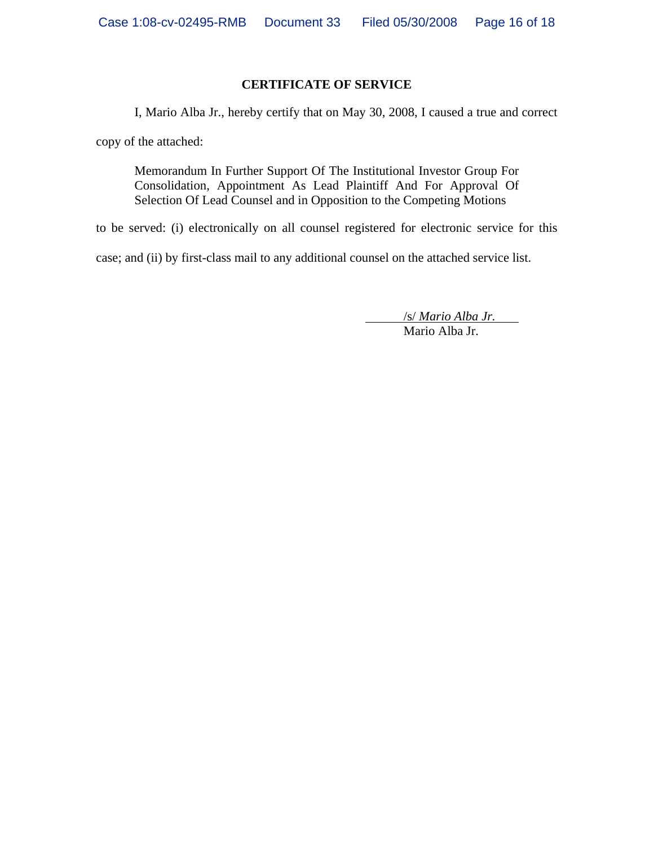#### **CERTIFICATE OF SERVICE**

I, Mario Alba Jr., hereby certify that on May 30, 2008, I caused a true and correct

copy of the attached:

Memorandum In Further Support Of The Institutional Investor Group For Consolidation, Appointment As Lead Plaintiff And For Approval Of Selection Of Lead Counsel and in Opposition to the Competing Motions

to be served: (i) electronically on all counsel registered for electronic service for this

case; and (ii) by first-class mail to any additional counsel on the attached service list.

/s/ *Mario Alba Jr.*

Mario Alba Jr.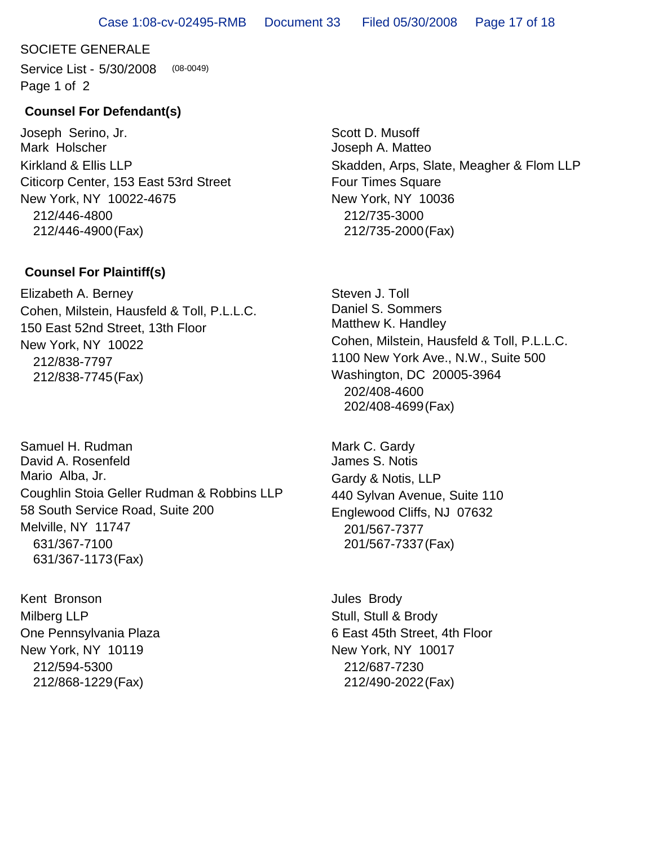## SOCIETE GENERALE

Service List - 5/30/2008 Page 1 of 2 (08-0049)

#### **Counsel For Defendant(s)**

Joseph Serino, Jr. Mark Holscher Citicorp Center, 153 East 53rd Street New York, NY 10022-4675 212/446-4800 212/446-4900(Fax) Kirkland & Ellis LLP

#### **Counsel For Plaintiff(s)**

Elizabeth A. Berney 150 East 52nd Street, 13th Floor New York, NY 10022 212/838-7797 212/838-7745(Fax) Cohen, Milstein, Hausfeld & Toll, P.L.L.C.

Samuel H. Rudman David A. Rosenfeld Mario Alba, Jr. 58 South Service Road, Suite 200 Melville, NY 11747 631/367-7100 631/367-1173(Fax) Coughlin Stoia Geller Rudman & Robbins LLP

Kent Bronson One Pennsylvania Plaza New York, NY 10119 212/594-5300 212/868-1229(Fax) Milberg LLP

Scott D. Musoff Joseph A. Matteo Four Times Square New York, NY 10036 212/735-3000 212/735-2000(Fax) Skadden, Arps, Slate, Meagher & Flom LLP

Steven J. Toll Daniel S. Sommers Matthew K. Handley 1100 New York Ave., N.W., Suite 500 Washington, DC 20005-3964 202/408-4600 202/408-4699(Fax) Cohen, Milstein, Hausfeld & Toll, P.L.L.C.

Mark C. Gardy James S. Notis 440 Sylvan Avenue, Suite 110 Englewood Cliffs, NJ 07632 201/567-7377 201/567-7337(Fax) Gardy & Notis, LLP

Jules Brody 6 East 45th Street, 4th Floor New York, NY 10017 212/687-7230 212/490-2022(Fax) Stull, Stull & Brody